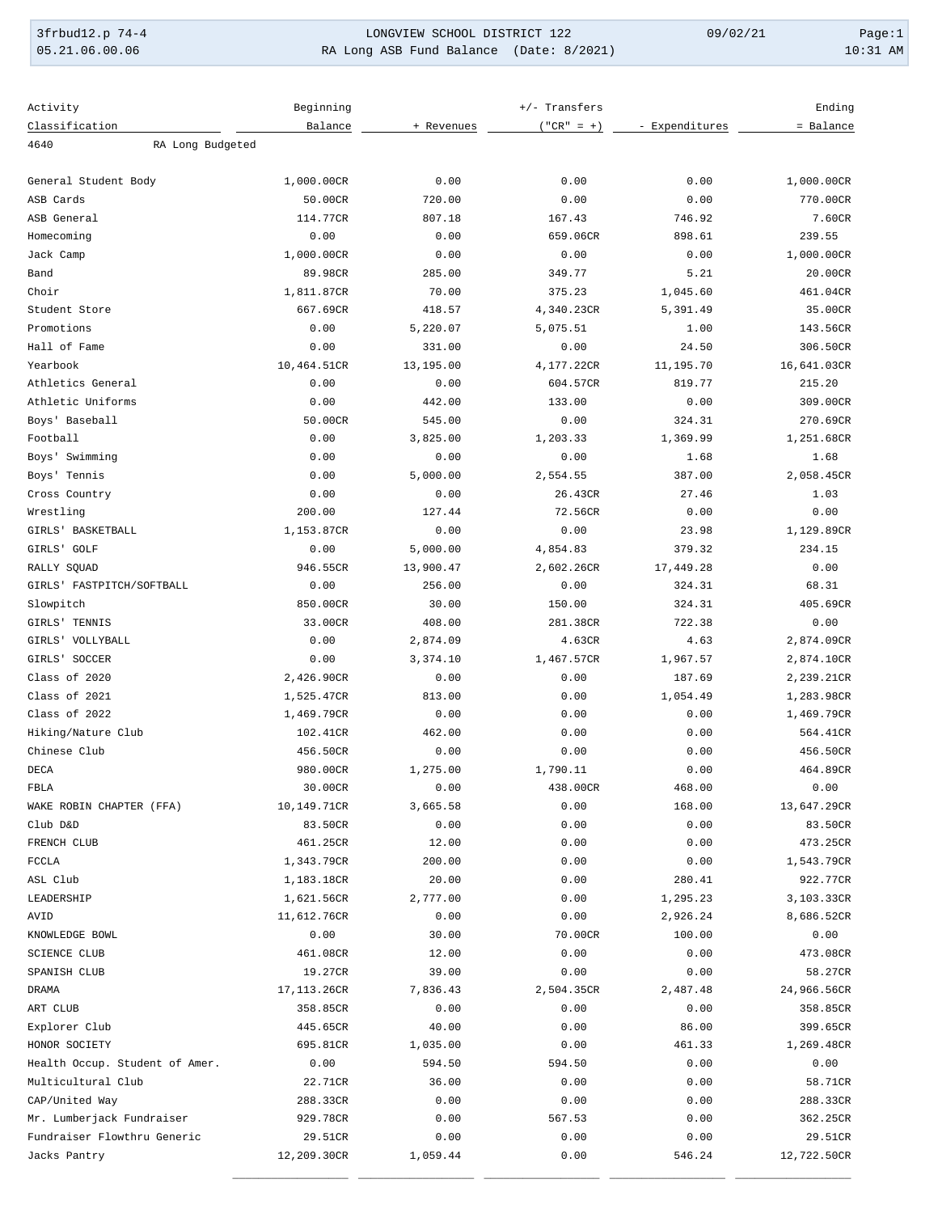3frbud12.p 74-4 LONGVIEW SCHOOL DISTRICT 122 09/02/21 Page:1 RA Long ASB Fund Balance (Date: 8/2021)

| Activity                       | Beginning        |            | Ending       |                |             |
|--------------------------------|------------------|------------|--------------|----------------|-------------|
| Classification                 | Balance          | + Revenues | $("CR" = +)$ | - Expenditures | = Balance   |
| RA Long Budgeted<br>4640       |                  |            |              |                |             |
|                                |                  |            |              |                |             |
| General Student Body           | 1,000.00CR       | 0.00       | 0.00         | 0.00           | 1,000.00CR  |
| ASB Cards                      | 50.00CR          | 720.00     | 0.00         | 0.00           | 770.00CR    |
| ASB General                    | 114.77CR         | 807.18     | 167.43       | 746.92         | 7.60CR      |
| Homecoming                     | 0.00             | 0.00       | 659.06CR     | 898.61         | 239.55      |
| Jack Camp                      | 1,000.00CR       | 0.00       | 0.00         | 0.00           | 1,000.00CR  |
| Band                           | 89.98CR          | 285.00     | 349.77       | 5.21           | 20.00CR     |
| Choir                          | 1,811.87CR       | 70.00      | 375.23       | 1,045.60       | 461.04CR    |
| Student Store                  | 667.69CR         | 418.57     | 4,340.23CR   | 5,391.49       | 35.00CR     |
| Promotions                     | 0.00             | 5,220.07   | 5,075.51     | 1.00           | 143.56CR    |
| Hall of Fame                   | 0.00             | 331.00     | 0.00         | 24.50          | 306.50CR    |
| Yearbook                       | 10,464.51CR      | 13,195.00  | 4,177.22CR   | 11,195.70      | 16,641.03CR |
| Athletics General              | 0.00             | 0.00       | 604.57CR     | 819.77         | 215.20      |
| Athletic Uniforms              | 0.00             | 442.00     | 133.00       | 0.00           | 309.00CR    |
| Boys' Baseball                 | 50.00CR          | 545.00     | 0.00         | 324.31         | 270.69CR    |
| Football                       | 0.00             | 3,825.00   | 1,203.33     | 1,369.99       | 1,251.68CR  |
| Boys' Swimming                 | 0.00             | 0.00       | 0.00         | 1.68           | 1.68        |
| Boys' Tennis                   | 0.00             | 5,000.00   | 2,554.55     | 387.00         | 2,058.45CR  |
| Cross Country                  | 0.00             | 0.00       | 26.43CR      | 27.46          | 1.03        |
| Wrestling                      | 200.00           | 127.44     | 72.56CR      | 0.00           | 0.00        |
| GIRLS' BASKETBALL              | 1,153.87CR       | 0.00       | 0.00         | 23.98          | 1,129.89CR  |
| GIRLS' GOLF                    | 0.00             | 5,000.00   | 4,854.83     | 379.32         | 234.15      |
| RALLY SQUAD                    | 946.55CR         | 13,900.47  | 2,602.26CR   | 17,449.28      | 0.00        |
| GIRLS' FASTPITCH/SOFTBALL      | 0.00             | 256.00     | 0.00         | 324.31         | 68.31       |
| Slowpitch                      | 850.00CR         | 30.00      | 150.00       | 324.31         | 405.69CR    |
| GIRLS' TENNIS                  | 33.00CR          | 408.00     | 281.38CR     | 722.38         | 0.00        |
| GIRLS' VOLLYBALL               | 0.00             | 2,874.09   | 4.63CR       | 4.63           | 2,874.09CR  |
| GIRLS' SOCCER                  | 0.00             | 3,374.10   | 1,467.57CR   | 1,967.57       | 2,874.10CR  |
| Class of 2020                  | 2,426.90CR       | 0.00       | 0.00         | 187.69         | 2,239.21CR  |
| Class of 2021                  | 1,525.47CR       | 813.00     | 0.00         | 1,054.49       | 1,283.98CR  |
| Class of 2022                  | 1,469.79CR       | 0.00       | 0.00         | 0.00           | 1,469.79CR  |
| Hiking/Nature Club             | 102.41CR         | 462.00     | 0.00         | 0.00           | 564.41CR    |
| Chinese Club                   | 456.50CR         | 0.00       | 0.00         | 0.00           | 456.50CR    |
| DECA                           | 980.00CR         | 1,275.00   | 1,790.11     | 0.00           | 464.89CR    |
| FBLA                           | 30.00CR          | 0.00       | 438.00CR     | 468.00         | 0.00        |
| WAKE ROBIN CHAPTER (FFA)       | 10,149.71CR      | 3,665.58   | 0.00         | 168.00         | 13,647.29CR |
| Club D&D                       | 83.50CR          | 0.00       | 0.00         | 0.00           | 83.50CR     |
| FRENCH CLUB                    | 461.25CR         | 12.00      | 0.00         | 0.00           | 473.25CR    |
| <b>FCCLA</b>                   | 1,343.79CR       | 200.00     | 0.00         | 0.00           | 1,543.79CR  |
| ASL Club                       | 1,183.18CR       | 20.00      | 0.00         | 280.41         | 922.77CR    |
| LEADERSHIP                     | 1,621.56CR       | 2,777.00   | 0.00         | 1,295.23       | 3,103.33CR  |
| AVID                           | 11,612.76CR      | 0.00       | 0.00         | 2,926.24       | 8,686.52CR  |
|                                |                  |            |              |                |             |
| KNOWLEDGE BOWL                 | 0.00<br>461.08CR | 30.00      | 70.00CR      | 100.00         | 0.00        |
| <b>SCIENCE CLUB</b>            |                  | 12.00      | 0.00         | 0.00           | 473.08CR    |
| SPANISH CLUB                   | 19.27CR          | 39.00      | 0.00         | 0.00           | 58.27CR     |
| DRAMA                          | 17,113.26CR      | 7,836.43   | 2,504.35CR   | 2,487.48       | 24,966.56CR |
| ART CLUB                       | 358.85CR         | 0.00       | 0.00         | 0.00           | 358.85CR    |
| Explorer Club                  | 445.65CR         | 40.00      | 0.00         | 86.00          | 399.65CR    |
| HONOR SOCIETY                  | 695.81CR         | 1,035.00   | 0.00         | 461.33         | 1,269.48CR  |
| Health Occup. Student of Amer. | 0.00             | 594.50     | 594.50       | 0.00           | 0.00        |
| Multicultural Club             | 22.71CR          | 36.00      | 0.00         | 0.00           | 58.71CR     |
| CAP/United Way                 | 288.33CR         | 0.00       | 0.00         | 0.00           | 288.33CR    |
| Mr. Lumberjack Fundraiser      | 929.78CR         | 0.00       | 567.53       | 0.00           | 362.25CR    |
| Fundraiser Flowthru Generic    | 29.51CR          | 0.00       | 0.00         | 0.00           | 29.51CR     |
| Jacks Pantry                   | 12,209.30CR      | 1,059.44   | 0.00         | 546.24         | 12,722.50CR |
|                                |                  |            |              |                |             |